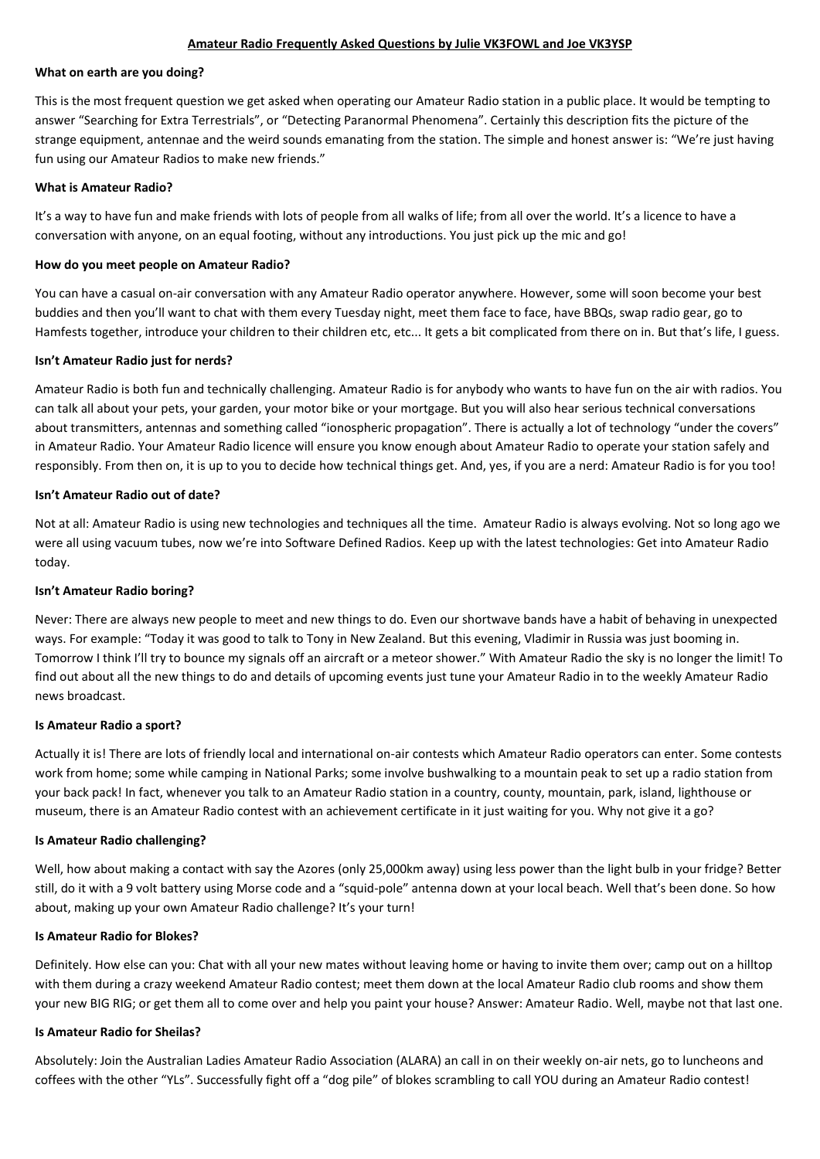#### **Amateur Radio Frequently Asked Questions by Julie VK3FOWL and Joe VK3YSP**

### **What on earth are you doing?**

This is the most frequent question we get asked when operating our Amateur Radio station in a public place. It would be tempting to answer "Searching for Extra Terrestrials", or "Detecting Paranormal Phenomena". Certainly this description fits the picture of the strange equipment, antennae and the weird sounds emanating from the station. The simple and honest answer is: "We're just having fun using our Amateur Radios to make new friends."

### **What is Amateur Radio?**

It's a way to have fun and make friends with lots of people from all walks of life; from all over the world. It's a licence to have a conversation with anyone, on an equal footing, without any introductions. You just pick up the mic and go!

### **How do you meet people on Amateur Radio?**

You can have a casual on-air conversation with any Amateur Radio operator anywhere. However, some will soon become your best buddies and then you'll want to chat with them every Tuesday night, meet them face to face, have BBQs, swap radio gear, go to Hamfests together, introduce your children to their children etc, etc... It gets a bit complicated from there on in. But that's life, I guess.

### **Isn't Amateur Radio just for nerds?**

Amateur Radio is both fun and technically challenging. Amateur Radio is for anybody who wants to have fun on the air with radios. You can talk all about your pets, your garden, your motor bike or your mortgage. But you will also hear serious technical conversations about transmitters, antennas and something called "ionospheric propagation". There is actually a lot of technology "under the covers" in Amateur Radio. Your Amateur Radio licence will ensure you know enough about Amateur Radio to operate your station safely and responsibly. From then on, it is up to you to decide how technical things get. And, yes, if you are a nerd: Amateur Radio is for you too!

#### **Isn't Amateur Radio out of date?**

Not at all: Amateur Radio is using new technologies and techniques all the time. Amateur Radio is always evolving. Not so long ago we were all using vacuum tubes, now we're into Software Defined Radios. Keep up with the latest technologies: Get into Amateur Radio today.

#### **Isn't Amateur Radio boring?**

Never: There are always new people to meet and new things to do. Even our shortwave bands have a habit of behaving in unexpected ways. For example: "Today it was good to talk to Tony in New Zealand. But this evening, Vladimir in Russia was just booming in. Tomorrow I think I'll try to bounce my signals off an aircraft or a meteor shower." With Amateur Radio the sky is no longer the limit! To find out about all the new things to do and details of upcoming events just tune your Amateur Radio in to the weekly Amateur Radio news broadcast.

#### **Is Amateur Radio a sport?**

Actually it is! There are lots of friendly local and international on-air contests which Amateur Radio operators can enter. Some contests work from home; some while camping in National Parks; some involve bushwalking to a mountain peak to set up a radio station from your back pack! In fact, whenever you talk to an Amateur Radio station in a country, county, mountain, park, island, lighthouse or museum, there is an Amateur Radio contest with an achievement certificate in it just waiting for you. Why not give it a go?

# **Is Amateur Radio challenging?**

Well, how about making a contact with say the Azores (only 25,000km away) using less power than the light bulb in your fridge? Better

still, do it with a 9 volt battery using Morse code and a "squid-pole" antenna down at your local beach. Well that's been done. So how about, making up your own Amateur Radio challenge? It's your turn!

#### **Is Amateur Radio for Blokes?**

Definitely. How else can you: Chat with all your new mates without leaving home or having to invite them over; camp out on a hilltop with them during a crazy weekend Amateur Radio contest; meet them down at the local Amateur Radio club rooms and show them your new BIG RIG; or get them all to come over and help you paint your house? Answer: Amateur Radio. Well, maybe not that last one.

#### **Is Amateur Radio for Sheilas?**

Absolutely: Join the Australian Ladies Amateur Radio Association (ALARA) an call in on their weekly on-air nets, go to luncheons and coffees with the other "YLs". Successfully fight off a "dog pile" of blokes scrambling to call YOU during an Amateur Radio contest!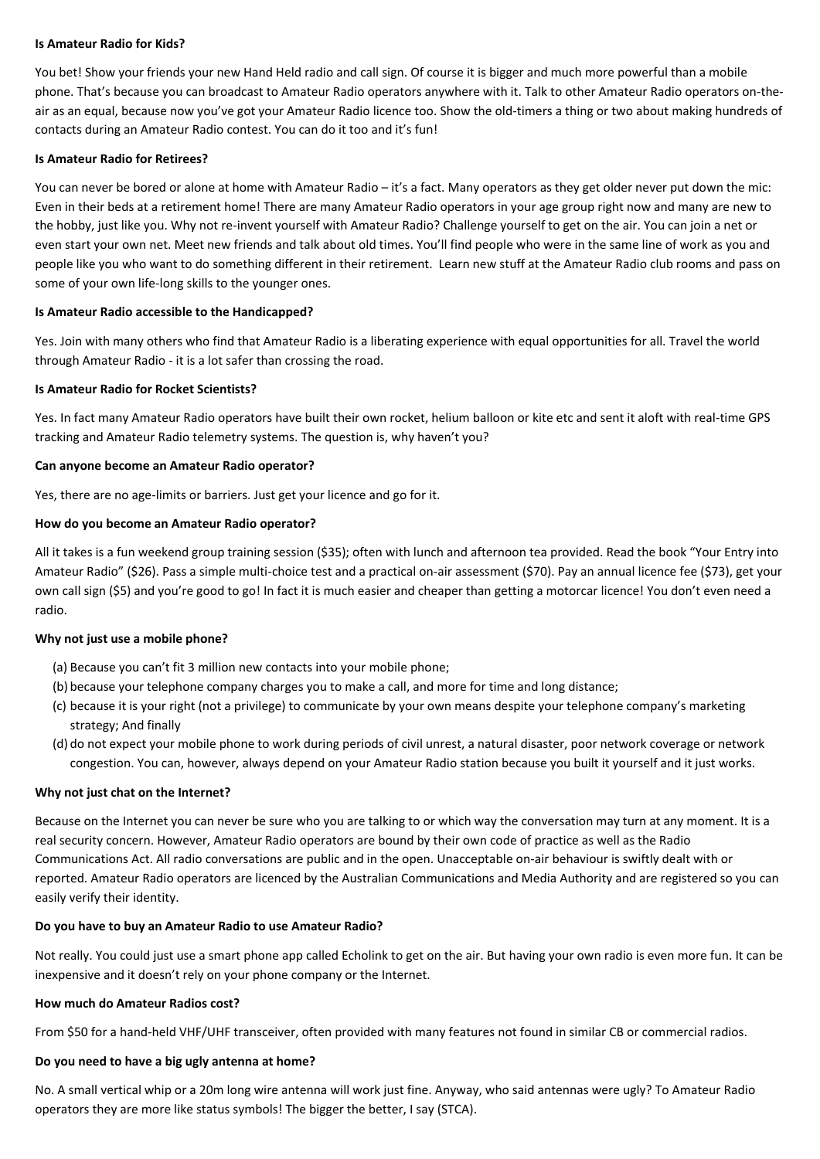### **Is Amateur Radio for Kids?**

You bet! Show your friends your new Hand Held radio and call sign. Of course it is bigger and much more powerful than a mobile phone. That's because you can broadcast to Amateur Radio operators anywhere with it. Talk to other Amateur Radio operators on-theair as an equal, because now you've got your Amateur Radio licence too. Show the old-timers a thing or two about making hundreds of contacts during an Amateur Radio contest. You can do it too and it's fun!

## **Is Amateur Radio for Retirees?**

You can never be bored or alone at home with Amateur Radio – it's a fact. Many operators as they get older never put down the mic: Even in their beds at a retirement home! There are many Amateur Radio operators in your age group right now and many are new to the hobby, just like you. Why not re-invent yourself with Amateur Radio? Challenge yourself to get on the air. You can join a net or even start your own net. Meet new friends and talk about old times. You'll find people who were in the same line of work as you and people like you who want to do something different in their retirement. Learn new stuff at the Amateur Radio club rooms and pass on some of your own life-long skills to the younger ones.

# **Is Amateur Radio accessible to the Handicapped?**

Yes. Join with many others who find that Amateur Radio is a liberating experience with equal opportunities for all. Travel the world through Amateur Radio - it is a lot safer than crossing the road.

### **Is Amateur Radio for Rocket Scientists?**

Yes. In fact many Amateur Radio operators have built their own rocket, helium balloon or kite etc and sent it aloft with real-time GPS tracking and Amateur Radio telemetry systems. The question is, why haven't you?

# **Can anyone become an Amateur Radio operator?**

Yes, there are no age-limits or barriers. Just get your licence and go for it.

# **How do you become an Amateur Radio operator?**

All it takes is a fun weekend group training session (\$35); often with lunch and afternoon tea provided. Read the book "Your Entry into Amateur Radio" (\$26). Pass a simple multi-choice test and a practical on-air assessment (\$70). Pay an annual licence fee (\$73), get your own call sign (\$5) and you're good to go! In fact it is much easier and cheaper than getting a motorcar licence! You don't even need a radio.

# **Why not just use a mobile phone?**

- (a) Because you can't fit 3 million new contacts into your mobile phone;
- (b) because your telephone company charges you to make a call, and more for time and long distance;
- (c) because it is your right (not a privilege) to communicate by your own means despite your telephone company's marketing strategy; And finally
- (d) do not expect your mobile phone to work during periods of civil unrest, a natural disaster, poor network coverage or network congestion. You can, however, always depend on your Amateur Radio station because you built it yourself and it just works.

# **Why not just chat on the Internet?**

Because on the Internet you can never be sure who you are talking to or which way the conversation may turn at any moment. It is a real security concern. However, Amateur Radio operators are bound by their own code of practice as well as the Radio Communications Act. All radio conversations are public and in the open. Unacceptable on-air behaviour is swiftly dealt with or reported. Amateur Radio operators are licenced by the Australian Communications and Media Authority and are registered so you can easily verify their identity.

#### **Do you have to buy an Amateur Radio to use Amateur Radio?**

Not really. You could just use a smart phone app called Echolink to get on the air. But having your own radio is even more fun. It can be inexpensive and it doesn't rely on your phone company or the Internet.

#### **How much do Amateur Radios cost?**

From \$50 for a hand-held VHF/UHF transceiver, often provided with many features not found in similar CB or commercial radios.

#### **Do you need to have a big ugly antenna at home?**

No. A small vertical whip or a 20m long wire antenna will work just fine. Anyway, who said antennas were ugly? To Amateur Radio operators they are more like status symbols! The bigger the better, I say (STCA).